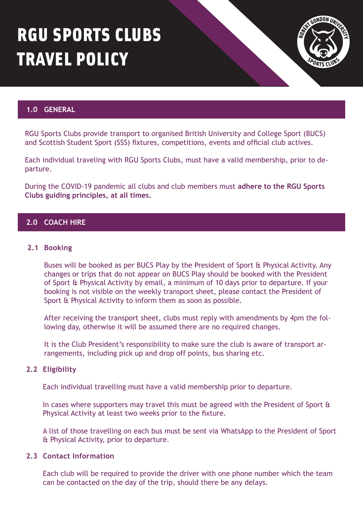# RGU SPORTS CLUBS TRAVEL POLICY



# **1.0 GENERAL**

RGU Sports Clubs provide transport to organised British University and College Sport (BUCS) and Scottish Student Sport (SSS) fixtures, competitions, events and official club actives.

Each individual traveling with RGU Sports Clubs, must have a valid membership, prior to departure.

During the COVID-19 pandemic all clubs and club members must **adhere to the RGU Sports Clubs guiding principles, at all times.**

# **2.0 COACH HIRE**

#### **2.1 Booking**

Buses will be booked as per BUCS Play by the President of Sport & Physical Activity. Any changes or trips that do not appear on BUCS Play should be booked with the President of Sport & Physical Activity by email, a minimum of 10 days prior to departure. If your booking is not visible on the weekly transport sheet, please contact the President of Sport & Physical Activity to inform them as soon as possible.

After receiving the transport sheet, clubs must reply with amendments by 4pm the following day, otherwise it will be assumed there are no required changes.

It is the Club President's responsibility to make sure the club is aware of transport arrangements, including pick up and drop off points, bus sharing etc.

#### **2.2 Eligibility**

Each individual travelling must have a valid membership prior to departure.

In cases where supporters may travel this must be agreed with the President of Sport & Physical Activity at least two weeks prior to the fixture.

A list of those travelling on each bus must be sent via WhatsApp to the President of Sport & Physical Activity, prior to departure.

#### **2.3 Contact Information**

Each club will be required to provide the driver with one phone number which the team can be contacted on the day of the trip, should there be any delays.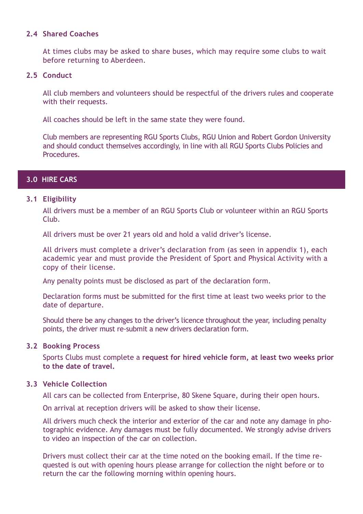## **2.4 Shared Coaches**

At times clubs may be asked to share buses, which may require some clubs to wait before returning to Aberdeen.

## **2.5 Conduct**

All club members and volunteers should be respectful of the drivers rules and cooperate with their requests.

All coaches should be left in the same state they were found.

Club members are representing RGU Sports Clubs, RGU Union and Robert Gordon University and should conduct themselves accordingly, in line with all RGU Sports Clubs Policies and Procedures.

# **3.0 HIRE CARS**

## **3.1 Eligibility**

All drivers must be a member of an RGU Sports Club or volunteer within an RGU Sports Club.

All drivers must be over 21 years old and hold a valid driver's license.

All drivers must complete a driver's declaration from (as seen in appendix 1), each academic year and must provide the President of Sport and Physical Activity with a copy of their license.

Any penalty points must be disclosed as part of the declaration form.

Declaration forms must be submitted for the first time at least two weeks prior to the date of departure.

Should there be any changes to the driver's licence throughout the year, including penalty points, the driver must re-submit a new drivers declaration form.

### **3.2 Booking Process**

Sports Clubs must complete a **request for hired vehicle form, at least two weeks prior to the date of travel.** 

# **3.3 Vehicle Collection**

All cars can be collected from Enterprise, 80 Skene Square, during their open hours.

On arrival at reception drivers will be asked to show their license.

All drivers much check the interior and exterior of the car and note any damage in photographic evidence. Any damages must be fully documented. We strongly advise drivers to video an inspection of the car on collection.

Drivers must collect their car at the time noted on the booking email. If the time requested is out with opening hours please arrange for collection the night before or to return the car the following morning within opening hours.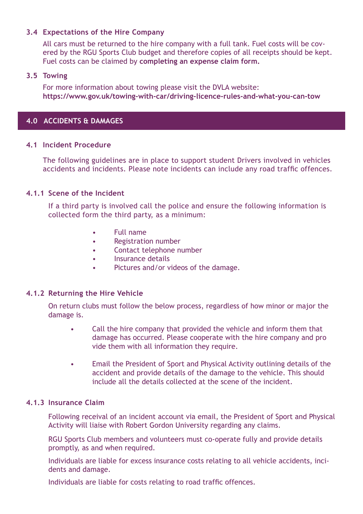# **3.4 Expectations of the Hire Company**

All cars must be returned to the hire company with a full tank. Fuel costs will be covered by the RGU Sports Club budget and therefore copies of all receipts should be kept. Fuel costs can be claimed by **completing an expense claim form.**

### **3.5 Towing**

For more information about towing please visit the DVLA website: **[https://www.gov.uk/towing-with-car/driving-licence-rules-and-what-you-can-tow](https://www.gov.uk/towing-with-car)** 

## **4.0 ACCIDENTS & DAMAGES**

#### **4.1 Incident Procedure**

The following guidelines are in place to support student Drivers involved in vehicles accidents and incidents. Please note incidents can include any road traffic offences.

## **4.1.1 Scene of the Incident**

If a third party is involved call the police and ensure the following information is collected form the third party, as a minimum:

- Full name
- Registration number
- Contact telephone number
- Insurance details
- Pictures and/or videos of the damage.

### **4.1.2 Returning the Hire Vehicle**

On return clubs must follow the below process, regardless of how minor or major the damage is.

- Call the hire company that provided the vehicle and inform them that damage has occurred. Please cooperate with the hire company and pro vide them with all information they require.
- Email the President of Sport and Physical Activity outlining details of the accident and provide details of the damage to the vehicle. This should include all the details collected at the scene of the incident.

#### **4.1.3 Insurance Claim**

Following receival of an incident account via email, the President of Sport and Physical Activity will liaise with Robert Gordon University regarding any claims.

RGU Sports Club members and volunteers must co-operate fully and provide details promptly, as and when required.

Individuals are liable for excess insurance costs relating to all vehicle accidents, incidents and damage.

Individuals are liable for costs relating to road traffic offences.